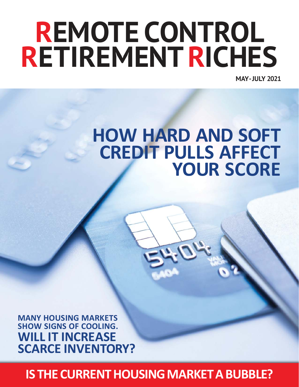# **REMOTE CONTROL RETIREMENT RICHES**

**MAY-JULY 2021**

### **HOW HARD AND SOFT CREDIT PULLS AFFECT YOUR SCORE**

**MANY HOUSING MARKETS SHOW SIGNS OF COOLING. WILL IT INCREASE SCARCE INVENTORY?**

### **IS THE CURRENT HOUSING MARKET A BUBBLE?**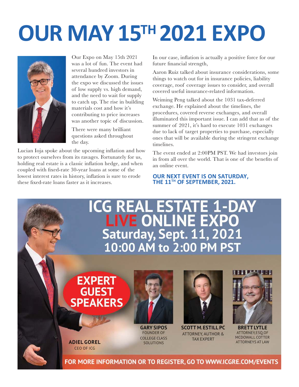# **OUR MAY 15TH 2021 EXPO**



Our Expo on May 15th 2021 was a lot of fun. The event had several hundred investors in attendance by Zoom. During the expo we discussed the issues of low supply vs. high demand, and the need to wait for supply to catch up. The rise in building materials cost and how it's contributing to price increases was another topic of discussion.

There were many brilliant questions asked throughout the day.

Lucian Ioja spoke about the upcoming inflation and how to protect ourselves from its ravages. Fortunately for us, holding real estate is a classic inflation hedge, and when coupled with fixed-rate 30-year loans at some of the lowest interest rates in history, inflation is sure to erode these fixed-rate loans faster as it increases.

In our case, inflation is actually a positive force for our future financial strength,

Aaron Ruiz talked about insurance considerations, some things to watch out for in insurance policies, liability coverage, roof coverage issues to consider, and overall covered useful insurance-related information.

Weiming Peng talked about the 1031 tax-deferred exchange. He explained about the timelines, the procedures, covered reverse exchanges, and overall illuminated this important issue. I can add that as of the summer of 2021, it's hard to execute 1031 exchanges due to lack of target properties to purchase, especially ones that will be available during the stringent exchange timelines.

The event ended at 2:00PM PST. We had investors join in from all over the world. That is one of the benefits of an online event.

#### **OUR NEXT EVENT IS ON SATURDAY, THE 11TH OF SEPTEMBER, 2021.**

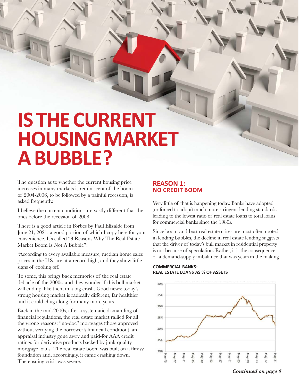## **IS THE CURRENT HOUSING MARKET A BUBBLE?**

The question as to whether the current housing price increases in many markets is reminiscent of the boom of 2004-2006, to be followed by a painful recession, is asked frequently.

I believe the current conditions are vastly different that the ones before the recession of 2008.

There is a good article in Forbes by Paul Elizalde from June 21, 2021, a good portion of which I copy here for your convenience. It's called "3 Reasons Why The Real Estate Market Boom Is Not A Bubble":

"According to every available measure, median home sales prices in the U.S. are at a record high, and they show little signs of cooling off.

To some, this brings back memories of the real estate debacle of the 2000s, and they wonder if this bull market will end up, like then, in a big crash. Good news: today's strong housing market is radically different, far healthier and it could chug along for many more years.

Back in the mid-2000s, after a systematic dismantling of financial regulations, the real estate market rallied for all the wrong reasons: "no-doc" mortgages (those approved without verifying the borrower's financial condition), an appraisal industry gone awry and paid-for AAA credit ratings for derivative products backed by junk-quality mortgage loans. The real estate boom was built on a flimsy foundation and, accordingly, it came crashing down. The ensuing crisis was severe.

#### **REASON 1: NO CREDIT BOOM**

Very little of that is happening today. Banks have adopted (or forced to adopt) much more stringent lending standards, leading to the lowest ratio of real estate loans to total loans for commercial banks since the 1980s.

Since boom-and-bust real estate crises are most often rooted in lending bubbles, the decline in real estate lending suggests that the driver of today's bull market in residential property is not because of speculation. Rather, it is the consequence of a demand-supply imbalance that was years in the making.

#### **COMMERCIAL BANKS: REAL ESTATE LOANS AS % OF ASSETS**



*Continued on page 6*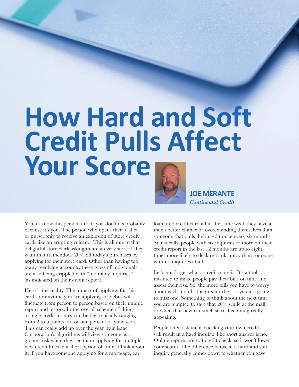# **How Hard and Soft Credit Pulls Affect Your Score**



**JOE MERANTE** *Continental Credit*

You all know this person, and if you don't it's probably because it's you. The person who opens their wallet or purse, only to receive an explosion of store credit cards like an erupting volcano. This is all due to that delightful store clerk asking them at every store if they want that tremendous 20% off today's purchases by applying for their store card. Other than having too many revolving accounts, these types of individuals are also being crippled with "too many inquiries" (as indicated on their credit report).

Here is the reality. The impact of applying for this card - or anytime you are applying for debt - will fluctuate from person to person based on their unique report and history. In the overall scheme of things, a single credit inquiry can be big, typically ranging from 2 to 5 points lost or one percent of your score. This can really add up over the year. Fair Isaac Corporation's algorithms will view someone as a greater risk when they see them applying for multiple new credit lines in a short period of time. Think about it; if you have someone applying for a mortgage, car

loan, and credit card all in the same week they have a much better chance of overextending themselves than someone that pulls their credit once every six months. Statistically, people with six inquiries or more on their credit report in the last 12 months are up to eight times more likely to declare bankruptcy than someone with no inquiries at all.

Let's not forget what a credit score is. It's a tool invented to make people pay their bills on time and assess their risk. So, the more bills you have to worry about each month, the greater the risk you are going to miss one. Something to think about the next time you are tempted to save that 20% while at the mall, or when that new-car smell starts becoming really appealing.

People often ask me if checking your own credit will result in a hard inquiry. The short answer is no. Online reports are soft credit check, so it won't lower your scores. The difference between a hard and soft inquiry generally comes down to whether you gave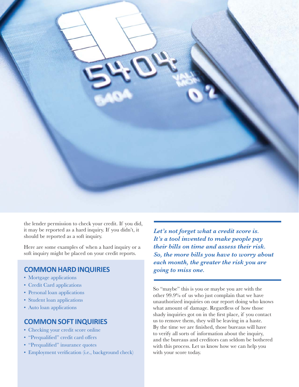

the lender permission to check your credit. If you did, it may be reported as a hard inquiry. If you didn't, it should be reported as a soft inquiry.

Here are some examples of when a hard inquiry or a soft inquiry might be placed on your credit reports.

#### **COMMON HARD INQUIRIES**

- Mortgage applications
- Credit Card applications
- Personal loan applications
- Student loan applications
- Auto loan applications

#### **COMMON SOFT INQUIRIES**

- Checking your credit score online
- "Prequalified" credit card offers
- "Prequalified" insurance quotes
- Employment verification (i.e., background check)

*Let's not forget what a credit score is. It's a tool invented to make people pay their bills on time and assess their risk. So, the more bills you have to worry about each month, the greater the risk you are going to miss one.*

So "maybe" this is you or maybe you are with the other 99.9% of us who just complain that we have unauthorized inquiries on our report doing who knows what amount of damage. Regardless of how those shady inquiries got on in the first place, if you contact us to remove them, they will be leaving in a haste. By the time we are finished, those bureaus will have to verify all sorts of information about the inquiry, and the bureaus and creditors can seldom be bothered with this process. Let us know how we can help you with your score today.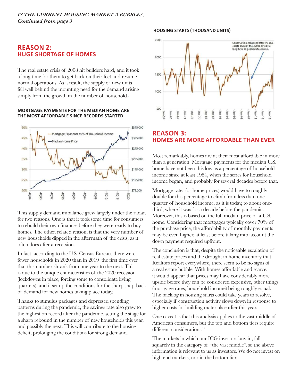#### *IS THE CURRENT HOUSING MARKET A BUBBLE?, Continued from page 3*

#### **REASON 2: HUGE SHORTAGE OF HOMES**

The real estate crisis of 2008 hit builders hard, and it took a long time for them to get back on their feet and resume normal operations. As a result, the supply of new units fell well behind the mounting need for the demand arising simply from the growth in the number of households.

#### **MORTGAGE PAYMENTS FOR THE MEDIAN HOME ARE THE MOST AFFORDABLE SINCE RECORDS STARTED**



This supply demand imbalance grew largely under the radar, for two reasons. One is that it took some time for consumers to rebuild their own finances before they were ready to buy homes. The other, related reason, is that the very number of new households dipped in the aftermath of the crisis, as it often does after a recession.

In fact, according to the U.S. Census Bureau, there were fewer households in 2020 than in 2019–the first time ever that this number shrank from one year to the next. This is due to the unique characteristics of the 2020 recession (lockdowns in place, forcing some to consolidate living quarters), and it set up the conditions for the sharp snap-back of demand for new homes taking place today.

Thanks to stimulus packages and depressed spending patterns during the pandemic, the savings rate also grew to the highest on record after the pandemic, setting the stage for a sharp rebound in the number of new households this year, and possibly the next. This will contribute to the housing deficit, prolonging the conditions for strong demand.

#### **HOUSING STARTS (THOUSAND UNITS)**



#### **REASON 3: HOMES ARE MORE AFFORDABLE THAN EVER**

Most remarkably, homes are at their most affordable in more than a generation. Mortgage payments for the median U.S. home have not been this low as a percentage of household income since at least 1984, when the series for household income began, and probably for several decades before that.

Mortgage rates (or home prices) would have to roughly double for this percentage to climb from less than onequarter of household income, as it is today, to about onethird, where it was for a decade before the pandemic. Moreover, this is based on the full median price of a U.S. home. Considering that mortgages typically cover 70% of the purchase price, the affordability of monthly payments may be even higher, at least before taking into account the down payment required upfront.

The conclusion is that, despite the noticeable escalation of real estate prices and the drought in home inventory that Realtors report everywhere, there seem to be no signs of a real estate bubble. With homes affordable and scarce, it would appear that prices may have considerably more upside before they can be considered expensive, other things (mortgage rates, household income) being roughly equal. The backlog in housing starts could take years to resolve, especially if construction activity slows down in response to higher costs for building materials earlier this year.

One caveat is that this analysis applies to the vast middle of American consumers, but the top and bottom tiers require different considerations."

The markets in which our ICG investors buy in, fall squarely in the category of "the vast middle", so the above information is relevant to us as investors. We do not invest on high end markets, nor in the bottom tier.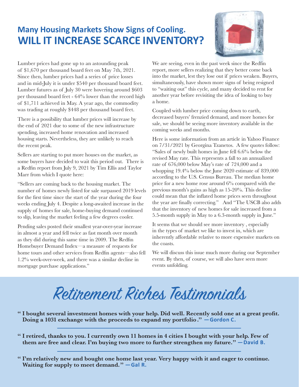### **Many Housing Markets Show Signs of Cooling. WILL IT INCREASE SCARCE INVENTORY?**



Lumber prices had gone up to an astounding peak of \$1,670 per thousand board feet on May 7th, 2021. Since then, lumber prices had a series of price losses and in mid-July it is under \$540 per thousand board feet. Lumber futures as of July 30 were hovering around \$603 per thousand board feet - 64% lower than the record high of \$1,711 achieved in May. A year ago, the commodity was trading at roughly \$448 per thousand board feet.

There is a possibility that lumber prices will increase by the end of 2021 due to some of the new infrastructure spending, increased home renovation and increased housing starts. Nevertheless, they are unlikely to reach the recent peak.

Sellers are starting to put more houses on the market, as some buyers have decided to wait this period out. There is a Redfin report from July 9, 2021 by Tim Ellis and Taylor Marr from which I quote here:

"Sellers are coming back to the housing market. The number of homes newly listed for sale surpassed 2019 levels for the first time since the start of the year during the four weeks ending July 4. Despite a long-awaited increase in the supply of homes for sale, home-buying demand continued to slip, leaving the market feeling a few degrees cooler.

Pending sales posted their smallest year-over-year increase in almost a year and fell twice as fast month over month as they did during this same time in 2009. The Redfin Homebuyer Demand Index—a measure of requests for home tours and other services from Redfin agents—also fell 1.2% week-over-week, and there was a similar decline in mortgage purchase applications."

We are seeing, even in the past week since the Redfin report, more sellers realizing that they better come back into the market, lest they lose out if prices weaken. Buyers, simultaneously, have shown more signs of being resigned to "waiting out" this cycle, and many decided to rent for another year before revisiting the idea of looking to buy a home.

Coupled with lumber price coming down to earth, decreased buyers' frenzied demand, and more homes for sale, we should be seeing more inventory available in the coming weeks and months.

Here is some information from an article in Yahoo Finance on 7/31/2021 by Georgina Tzanetos. A few quotes follow: "Sales of newly built homes in June fell 6.6% below the revised May rate. This represents a fall to an annualized rate of 676,000 below May's rate of 724,000 and a whopping 19.4% below the June 2020 estimate of 839,000 according to the U.S. Census Bureau. The median home price for a new home rose around 6% compared with the previous month's gains as high as 15-20%. This decline could mean that the inflated home prices seen throughout the year are finally correcting." And "The USCB also adds that the inventory of new homes for sale increased from a 5.5-month supply in May to a 6.3-month supply in June."

It seems that we should see more inventory , especially in the types of market we like to invest in, which are inherently affordable relative to more expensive markets on the coasts.

We will discuss this issue much more during our September event. By then, of course, we will also have seen more events unfolding.

## Retirement Riches Testimonials

" I bought several investment homes with your help. Did well. Recently sold one at a great profit.  **Doing a 1031 exchange with the proceeds to expand my portfolio ." — Gordon C.**

**" I retired, thanks to you. I currently own 11 homes in 4 cities I bought with your help. Few of them are free and clear. I'm buying two more to further strengthen my future." — David B.**

**" I'm relatively new and bought one home last year. Very happy with it and eager to continue.**  Waiting for supply to meet demand." - Gal R.